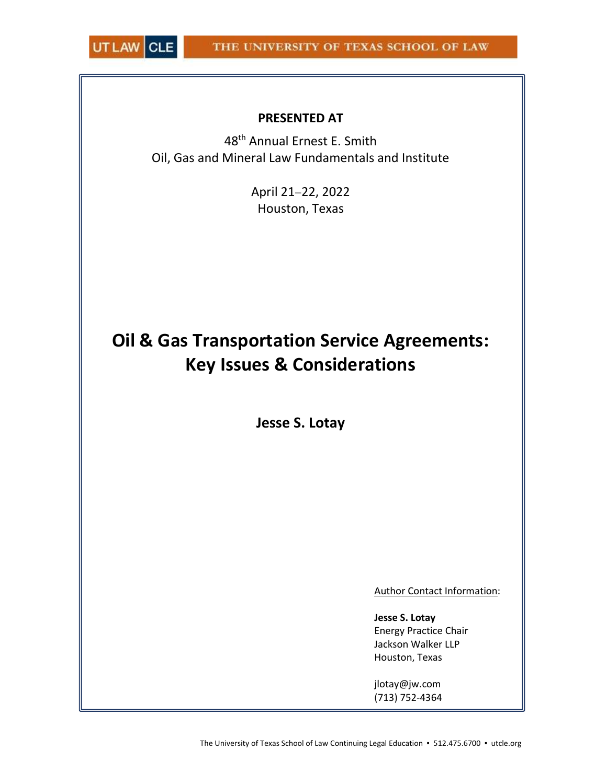

# PRESENTED AT

48th Annual Ernest E. Smith Oil, Gas and Mineral Law Fundamentals and Institute

> April 21-22, 2022 Houston, Texas

# Oil & Gas Transportation Service Agreements: Key Issues & Considerations

Jesse S. Lotay

Author Contact Information:

Jesse S. Lotay Energy Practice Chair Jackson Walker LLP Houston, Texas

jlotay@jw.com (713) 752-4364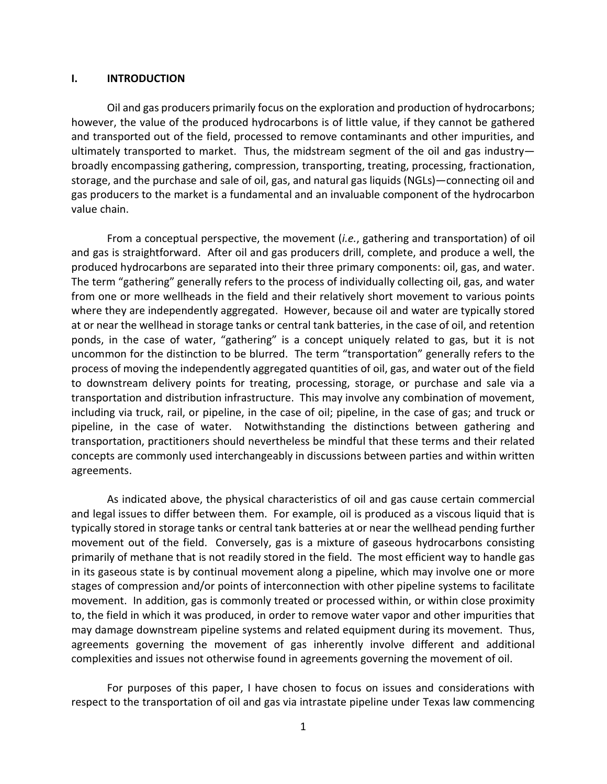#### I. INTRODUCTION

Oil and gas producers primarily focus on the exploration and production of hydrocarbons; however, the value of the produced hydrocarbons is of little value, if they cannot be gathered and transported out of the field, processed to remove contaminants and other impurities, and ultimately transported to market. Thus, the midstream segment of the oil and gas industry broadly encompassing gathering, compression, transporting, treating, processing, fractionation, storage, and the purchase and sale of oil, gas, and natural gas liquids (NGLs)—connecting oil and gas producers to the market is a fundamental and an invaluable component of the hydrocarbon value chain.

From a conceptual perspective, the movement *(i.e.,* gathering and transportation) of oil and gas is straightforward. After oil and gas producers drill, complete, and produce a well, the produced hydrocarbons are separated into their three primary components: oil, gas, and water. The term "gathering" generally refers to the process of individually collecting oil, gas, and water from one or more wellheads in the field and their relatively short movement to various points where they are independently aggregated. However, because oil and water are typically stored at or near the wellhead in storage tanks or central tank batteries, in the case of oil, and retention ponds, in the case of water, "gathering" is a concept uniquely related to gas, but it is not uncommon for the distinction to be blurred. The term "transportation" generally refers to the process of moving the independently aggregated quantities of oil, gas, and water out of the field to downstream delivery points for treating, processing, storage, or purchase and sale via a transportation and distribution infrastructure. This may involve any combination of movement, including via truck, rail, or pipeline, in the case of oil; pipeline, in the case of gas; and truck or pipeline, in the case of water. Notwithstanding the distinctions between gathering and transportation, practitioners should nevertheless be mindful that these terms and their related concepts are commonly used interchangeably in discussions between parties and within written agreements.

As indicated above, the physical characteristics of oil and gas cause certain commercial and legal issues to differ between them. For example, oil is produced as a viscous liquid that is typically stored in storage tanks or central tank batteries at or near the wellhead pending further movement out of the field. Conversely, gas is a mixture of gaseous hydrocarbons consisting primarily of methane that is not readily stored in the field. The most efficient way to handle gas in its gaseous state is by continual movement along a pipeline, which may involve one or more stages of compression and/or points of interconnection with other pipeline systems to facilitate movement. In addition, gas is commonly treated or processed within, or within close proximity to, the field in which it was produced, in order to remove water vapor and other impurities that may damage downstream pipeline systems and related equipment during its movement. Thus, agreements governing the movement of gas inherently involve different and additional complexities and issues not otherwise found in agreements governing the movement of oil.

For purposes of this paper, I have chosen to focus on issues and considerations with respect to the transportation of oil and gas via intrastate pipeline under Texas law commencing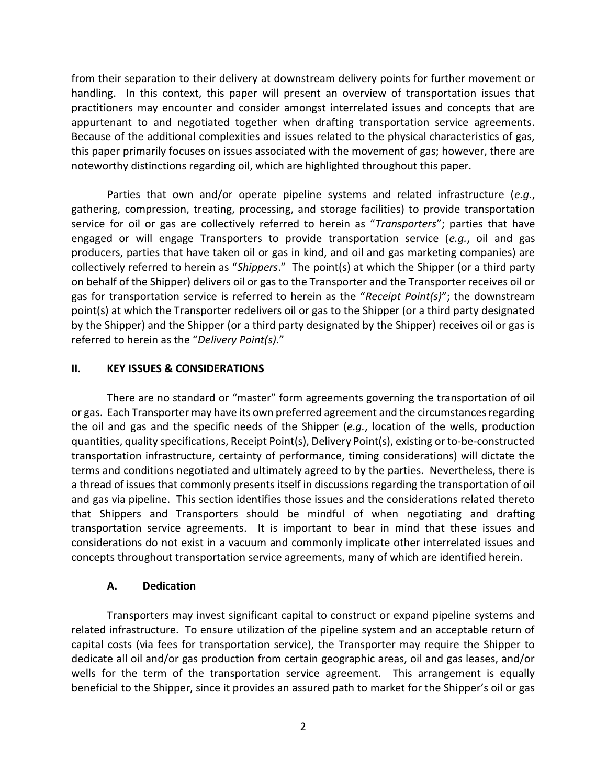from their separation to their delivery at downstream delivery points for further movement or handling. In this context, this paper will present an overview of transportation issues that practitioners may encounter and consider amongst interrelated issues and concepts that are appurtenant to and negotiated together when drafting transportation service agreements. Because of the additional complexities and issues related to the physical characteristics of gas, this paper primarily focuses on issues associated with the movement of gas; however, there are noteworthy distinctions regarding oil, which are highlighted throughout this paper.

Parties that own and/or operate pipeline systems and related infrastructure (e.g., gathering, compression, treating, processing, and storage facilities) to provide transportation service for oil or gas are collectively referred to herein as "Transporters"; parties that have engaged or will engage Transporters to provide transportation service  $(e.g.,$  oil and gas producers, parties that have taken oil or gas in kind, and oil and gas marketing companies) are collectively referred to herein as "Shippers." The point(s) at which the Shipper (or a third party on behalf of the Shipper) delivers oil or gas to the Transporter and the Transporter receives oil or gas for transportation service is referred to herein as the "Receipt Point(s)"; the downstream point(s) at which the Transporter redelivers oil or gas to the Shipper (or a third party designated by the Shipper) and the Shipper (or a third party designated by the Shipper) receives oil or gas is referred to herein as the "Delivery Point(s)."

### II. KEY ISSUES & CONSIDERATIONS

There are no standard or "master" form agreements governing the transportation of oil or gas. Each Transporter may have its own preferred agreement and the circumstances regarding the oil and gas and the specific needs of the Shipper (e.g., location of the wells, production quantities, quality specifications, Receipt Point(s), Delivery Point(s), existing or to-be-constructed transportation infrastructure, certainty of performance, timing considerations) will dictate the terms and conditions negotiated and ultimately agreed to by the parties. Nevertheless, there is a thread of issues that commonly presents itself in discussions regarding the transportation of oil and gas via pipeline. This section identifies those issues and the considerations related thereto that Shippers and Transporters should be mindful of when negotiating and drafting transportation service agreements. It is important to bear in mind that these issues and considerations do not exist in a vacuum and commonly implicate other interrelated issues and concepts throughout transportation service agreements, many of which are identified herein.

### A. Dedication

Transporters may invest significant capital to construct or expand pipeline systems and related infrastructure. To ensure utilization of the pipeline system and an acceptable return of capital costs (via fees for transportation service), the Transporter may require the Shipper to dedicate all oil and/or gas production from certain geographic areas, oil and gas leases, and/or wells for the term of the transportation service agreement. This arrangement is equally beneficial to the Shipper, since it provides an assured path to market for the Shipper's oil or gas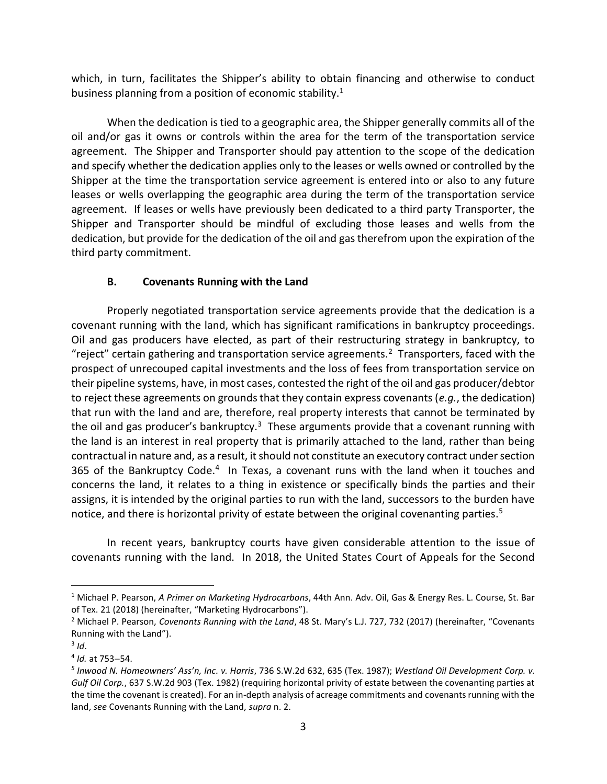which, in turn, facilitates the Shipper's ability to obtain financing and otherwise to conduct business planning from a position of economic stability.<sup>1</sup>

When the dedication is tied to a geographic area, the Shipper generally commits all of the oil and/or gas it owns or controls within the area for the term of the transportation service agreement. The Shipper and Transporter should pay attention to the scope of the dedication and specify whether the dedication applies only to the leases or wells owned or controlled by the Shipper at the time the transportation service agreement is entered into or also to any future leases or wells overlapping the geographic area during the term of the transportation service agreement. If leases or wells have previously been dedicated to a third party Transporter, the Shipper and Transporter should be mindful of excluding those leases and wells from the dedication, but provide for the dedication of the oil and gas therefrom upon the expiration of the third party commitment.

## B. Covenants Running with the Land

Properly negotiated transportation service agreements provide that the dedication is a covenant running with the land, which has significant ramifications in bankruptcy proceedings. Oil and gas producers have elected, as part of their restructuring strategy in bankruptcy, to "reject" certain gathering and transportation service agreements.<sup>2</sup> Transporters, faced with the prospect of unrecouped capital investments and the loss of fees from transportation service on their pipeline systems, have, in most cases, contested the right of the oil and gas producer/debtor to reject these agreements on grounds that they contain express covenants (e.g., the dedication) that run with the land and are, therefore, real property interests that cannot be terminated by the oil and gas producer's bankruptcy.<sup>3</sup> These arguments provide that a covenant running with the land is an interest in real property that is primarily attached to the land, rather than being contractual in nature and, as a result, it should not constitute an executory contract under section 365 of the Bankruptcy Code.<sup>4</sup> In Texas, a covenant runs with the land when it touches and concerns the land, it relates to a thing in existence or specifically binds the parties and their assigns, it is intended by the original parties to run with the land, successors to the burden have notice, and there is horizontal privity of estate between the original covenanting parties.<sup>5</sup>

In recent years, bankruptcy courts have given considerable attention to the issue of covenants running with the land. In 2018, the United States Court of Appeals for the Second

<sup>&</sup>lt;sup>1</sup> Michael P. Pearson, A Primer on Marketing Hydrocarbons, 44th Ann. Adv. Oil, Gas & Energy Res. L. Course, St. Bar of Tex. 21 (2018) (hereinafter, "Marketing Hydrocarbons").

<sup>&</sup>lt;sup>2</sup> Michael P. Pearson, Covenants Running with the Land, 48 St. Mary's L.J. 727, 732 (2017) (hereinafter, "Covenants Running with the Land").

 $3$  Id.

 $4$  Id. at 753–54.

<sup>&</sup>lt;sup>5</sup> Inwood N. Homeowners' Ass'n, Inc. v. Harris, 736 S.W.2d 632, 635 (Tex. 1987); Westland Oil Development Corp. v. Gulf Oil Corp., 637 S.W.2d 903 (Tex. 1982) (requiring horizontal privity of estate between the covenanting parties at the time the covenant is created). For an in-depth analysis of acreage commitments and covenants running with the land, see Covenants Running with the Land, supra n. 2.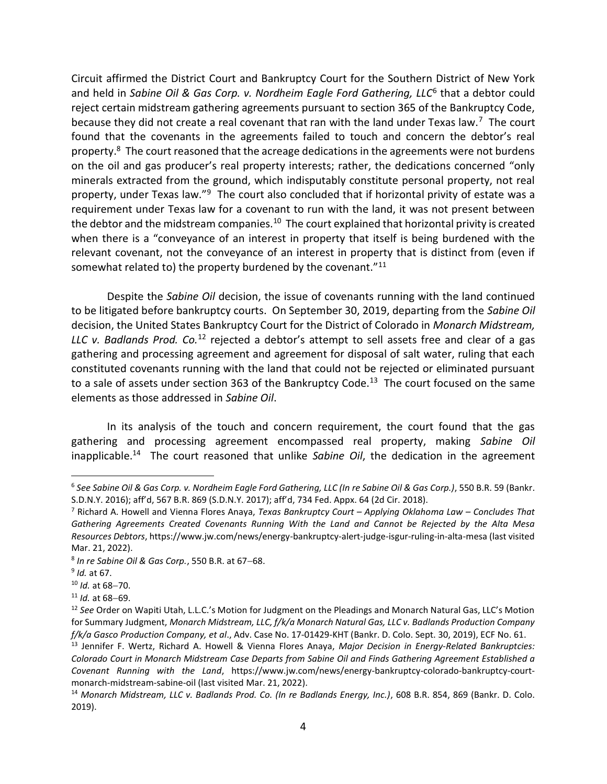Circuit affirmed the District Court and Bankruptcy Court for the Southern District of New York and held in Sabine Oil & Gas Corp. v. Nordheim Eagle Ford Gathering, LLC<sup>6</sup> that a debtor could reject certain midstream gathering agreements pursuant to section 365 of the Bankruptcy Code, because they did not create a real covenant that ran with the land under Texas law.<sup>7</sup> The court found that the covenants in the agreements failed to touch and concern the debtor's real property.<sup>8</sup> The court reasoned that the acreage dedications in the agreements were not burdens on the oil and gas producer's real property interests; rather, the dedications concerned "only minerals extracted from the ground, which indisputably constitute personal property, not real property, under Texas law."<sup>9</sup> The court also concluded that if horizontal privity of estate was a requirement under Texas law for a covenant to run with the land, it was not present between the debtor and the midstream companies.<sup>10</sup> The court explained that horizontal privity is created when there is a "conveyance of an interest in property that itself is being burdened with the relevant covenant, not the conveyance of an interest in property that is distinct from (even if somewhat related to) the property burdened by the covenant."<sup>11</sup>

Despite the Sabine Oil decision, the issue of covenants running with the land continued to be litigated before bankruptcy courts. On September 30, 2019, departing from the Sabine Oil decision, the United States Bankruptcy Court for the District of Colorado in Monarch Midstream, LLC v. Badlands Prod.  $Co^{12}$  rejected a debtor's attempt to sell assets free and clear of a gas gathering and processing agreement and agreement for disposal of salt water, ruling that each constituted covenants running with the land that could not be rejected or eliminated pursuant to a sale of assets under section 363 of the Bankruptcy Code.<sup>13</sup> The court focused on the same elements as those addressed in Sabine Oil.

In its analysis of the touch and concern requirement, the court found that the gas gathering and processing agreement encompassed real property, making Sabine Oil inapplicable.<sup>14</sup> The court reasoned that unlike Sabine Oil, the dedication in the agreement

<sup>&</sup>lt;sup>6</sup> See Sabine Oil & Gas Corp. v. Nordheim Eagle Ford Gathering, LLC (In re Sabine Oil & Gas Corp.), 550 B.R. 59 (Bankr. S.D.N.Y. 2016); aff'd, 567 B.R. 869 (S.D.N.Y. 2017); aff'd, 734 Fed. Appx. 64 (2d Cir. 2018).

<sup>&</sup>lt;sup>7</sup> Richard A. Howell and Vienna Flores Anaya, Texas Bankruptcy Court - Applying Oklahoma Law - Concludes That Gathering Agreements Created Covenants Running With the Land and Cannot be Rejected by the Alta Mesa Resources Debtors, https://www.jw.com/news/energy-bankruptcy-alert-judge-isgur-ruling-in-alta-mesa (last visited Mar. 21, 2022).

 $8$  In re Sabine Oil & Gas Corp., 550 B.R. at 67-68.

<sup>&</sup>lt;sup>9</sup> Id. at 67.

 $10$  Id. at 68-70.

 $11$  *Id.* at 68-69.

<sup>&</sup>lt;sup>12</sup> See Order on Wapiti Utah, L.L.C.'s Motion for Judgment on the Pleadings and Monarch Natural Gas, LLC's Motion for Summary Judgment, Monarch Midstream, LLC, f/k/a Monarch Natural Gas, LLC v. Badlands Production Company f/k/a Gasco Production Company, et al., Adv. Case No. 17-01429-KHT (Bankr. D. Colo. Sept. 30, 2019), ECF No. 61.

<sup>&</sup>lt;sup>13</sup> Jennifer F. Wertz, Richard A. Howell & Vienna Flores Anaya, Major Decision in Energy-Related Bankruptcies: Colorado Court in Monarch Midstream Case Departs from Sabine Oil and Finds Gathering Agreement Established a Covenant Running with the Land, https://www.jw.com/news/energy-bankruptcy-colorado-bankruptcy-courtmonarch-midstream-sabine-oil (last visited Mar. 21, 2022).

<sup>&</sup>lt;sup>14</sup> Monarch Midstream, LLC v. Badlands Prod. Co. (In re Badlands Energy, Inc.), 608 B.R. 854, 869 (Bankr. D. Colo. 2019).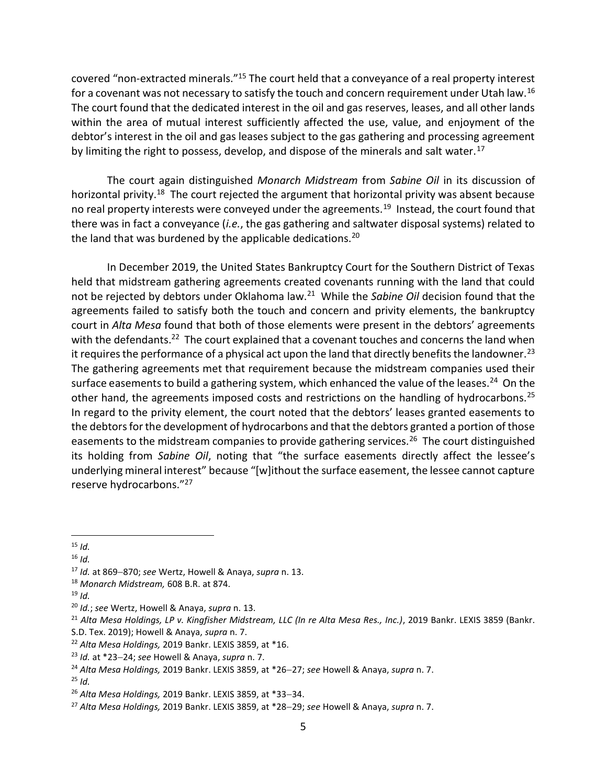covered "non-extracted minerals."<sup>15</sup> The court held that a conveyance of a real property interest for a covenant was not necessary to satisfy the touch and concern requirement under Utah law.<sup>16</sup> The court found that the dedicated interest in the oil and gas reserves, leases, and all other lands within the area of mutual interest sufficiently affected the use, value, and enjoyment of the debtor's interest in the oil and gas leases subject to the gas gathering and processing agreement by limiting the right to possess, develop, and dispose of the minerals and salt water.<sup>17</sup>

The court again distinguished Monarch Midstream from Sabine Oil in its discussion of horizontal privity.<sup>18</sup> The court rejected the argument that horizontal privity was absent because no real property interests were conveyed under the agreements.<sup>19</sup> Instead, the court found that there was in fact a conveyance (i.e., the gas gathering and saltwater disposal systems) related to the land that was burdened by the applicable dedications.<sup>20</sup>

In December 2019, the United States Bankruptcy Court for the Southern District of Texas held that midstream gathering agreements created covenants running with the land that could not be rejected by debtors under Oklahoma law.<sup>21</sup> While the Sabine Oil decision found that the agreements failed to satisfy both the touch and concern and privity elements, the bankruptcy court in Alta Mesa found that both of those elements were present in the debtors' agreements with the defendants.<sup>22</sup> The court explained that a covenant touches and concerns the land when it requires the performance of a physical act upon the land that directly benefits the landowner.<sup>23</sup> The gathering agreements met that requirement because the midstream companies used their surface easements to build a gathering system, which enhanced the value of the leases.<sup>24</sup> On the other hand, the agreements imposed costs and restrictions on the handling of hydrocarbons.<sup>25</sup> In regard to the privity element, the court noted that the debtors' leases granted easements to the debtors for the development of hydrocarbons and that the debtors granted a portion of those easements to the midstream companies to provide gathering services.<sup>26</sup> The court distinguished its holding from Sabine Oil, noting that "the surface easements directly affect the lessee's underlying mineral interest" because "[w]ithout the surface easement, the lessee cannot capture reserve hydrocarbons."<sup>27</sup>

 $19 \,$ Id.

 $\overline{a}$  $15$  Id.

 $16$  *Id.* 

 $17$  Id. at 869-870; see Wertz, Howell & Anaya, supra n. 13.

<sup>&</sup>lt;sup>18</sup> Monarch Midstream, 608 B.R. at 874.

 $20$  Id.; see Wertz, Howell & Anaya, supra n. 13.

<sup>&</sup>lt;sup>21</sup> Alta Mesa Holdings, LP v. Kingfisher Midstream, LLC (In re Alta Mesa Res., Inc.), 2019 Bankr. LEXIS 3859 (Bankr.

S.D. Tex. 2019); Howell & Anaya, supra n. 7.

 $22$  Alta Mesa Holdings, 2019 Bankr. LEXIS 3859, at  $*16$ .

 $23$  Id. at \*23-24; see Howell & Anaya, supra n. 7.

<sup>&</sup>lt;sup>24</sup> Alta Mesa Holdings, 2019 Bankr. LEXIS 3859, at \*26-27; see Howell & Anaya, supra n. 7.

 $25$  *Id.* 

 $26$  Alta Mesa Holdings, 2019 Bankr. LEXIS 3859, at \*33-34.

 $27$  Alta Mesa Holdings, 2019 Bankr. LEXIS 3859, at \*28-29; see Howell & Anaya, supra n. 7.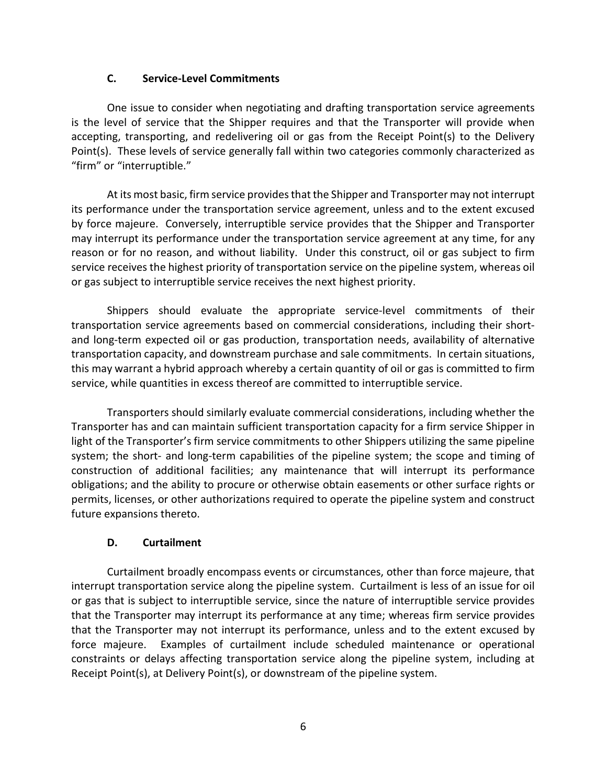## C. Service-Level Commitments

One issue to consider when negotiating and drafting transportation service agreements is the level of service that the Shipper requires and that the Transporter will provide when accepting, transporting, and redelivering oil or gas from the Receipt Point(s) to the Delivery Point(s). These levels of service generally fall within two categories commonly characterized as "firm" or "interruptible."

At its most basic, firm service provides that the Shipper and Transporter may not interrupt its performance under the transportation service agreement, unless and to the extent excused by force majeure. Conversely, interruptible service provides that the Shipper and Transporter may interrupt its performance under the transportation service agreement at any time, for any reason or for no reason, and without liability. Under this construct, oil or gas subject to firm service receives the highest priority of transportation service on the pipeline system, whereas oil or gas subject to interruptible service receives the next highest priority.

Shippers should evaluate the appropriate service-level commitments of their transportation service agreements based on commercial considerations, including their shortand long-term expected oil or gas production, transportation needs, availability of alternative transportation capacity, and downstream purchase and sale commitments. In certain situations, this may warrant a hybrid approach whereby a certain quantity of oil or gas is committed to firm service, while quantities in excess thereof are committed to interruptible service.

Transporters should similarly evaluate commercial considerations, including whether the Transporter has and can maintain sufficient transportation capacity for a firm service Shipper in light of the Transporter's firm service commitments to other Shippers utilizing the same pipeline system; the short- and long-term capabilities of the pipeline system; the scope and timing of construction of additional facilities; any maintenance that will interrupt its performance obligations; and the ability to procure or otherwise obtain easements or other surface rights or permits, licenses, or other authorizations required to operate the pipeline system and construct future expansions thereto.

### D. Curtailment

Curtailment broadly encompass events or circumstances, other than force majeure, that interrupt transportation service along the pipeline system. Curtailment is less of an issue for oil or gas that is subject to interruptible service, since the nature of interruptible service provides that the Transporter may interrupt its performance at any time; whereas firm service provides that the Transporter may not interrupt its performance, unless and to the extent excused by force majeure. Examples of curtailment include scheduled maintenance or operational constraints or delays affecting transportation service along the pipeline system, including at Receipt Point(s), at Delivery Point(s), or downstream of the pipeline system.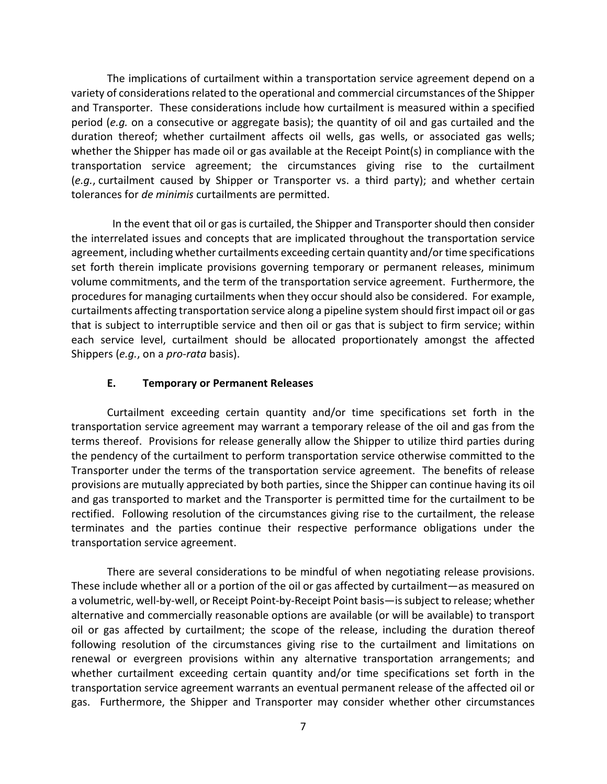The implications of curtailment within a transportation service agreement depend on a variety of considerations related to the operational and commercial circumstances of the Shipper and Transporter. These considerations include how curtailment is measured within a specified period (e.g. on a consecutive or aggregate basis); the quantity of oil and gas curtailed and the duration thereof; whether curtailment affects oil wells, gas wells, or associated gas wells; whether the Shipper has made oil or gas available at the Receipt Point(s) in compliance with the transportation service agreement; the circumstances giving rise to the curtailment (e.g., curtailment caused by Shipper or Transporter vs. a third party); and whether certain tolerances for de minimis curtailments are permitted.

 In the event that oil or gas is curtailed, the Shipper and Transporter should then consider the interrelated issues and concepts that are implicated throughout the transportation service agreement, including whether curtailments exceeding certain quantity and/or time specifications set forth therein implicate provisions governing temporary or permanent releases, minimum volume commitments, and the term of the transportation service agreement. Furthermore, the procedures for managing curtailments when they occur should also be considered. For example, curtailments affecting transportation service along a pipeline system should first impact oil or gas that is subject to interruptible service and then oil or gas that is subject to firm service; within each service level, curtailment should be allocated proportionately amongst the affected Shippers (e.g., on a pro-rata basis).

### E. Temporary or Permanent Releases

Curtailment exceeding certain quantity and/or time specifications set forth in the transportation service agreement may warrant a temporary release of the oil and gas from the terms thereof. Provisions for release generally allow the Shipper to utilize third parties during the pendency of the curtailment to perform transportation service otherwise committed to the Transporter under the terms of the transportation service agreement. The benefits of release provisions are mutually appreciated by both parties, since the Shipper can continue having its oil and gas transported to market and the Transporter is permitted time for the curtailment to be rectified. Following resolution of the circumstances giving rise to the curtailment, the release terminates and the parties continue their respective performance obligations under the transportation service agreement.

There are several considerations to be mindful of when negotiating release provisions. These include whether all or a portion of the oil or gas affected by curtailment—as measured on a volumetric, well-by-well, or Receipt Point-by-Receipt Point basis—is subject to release; whether alternative and commercially reasonable options are available (or will be available) to transport oil or gas affected by curtailment; the scope of the release, including the duration thereof following resolution of the circumstances giving rise to the curtailment and limitations on renewal or evergreen provisions within any alternative transportation arrangements; and whether curtailment exceeding certain quantity and/or time specifications set forth in the transportation service agreement warrants an eventual permanent release of the affected oil or gas. Furthermore, the Shipper and Transporter may consider whether other circumstances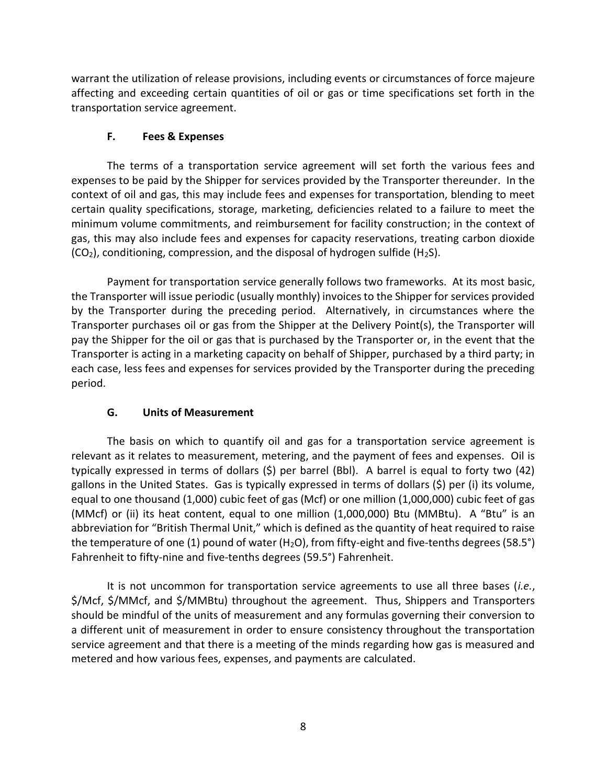warrant the utilization of release provisions, including events or circumstances of force majeure affecting and exceeding certain quantities of oil or gas or time specifications set forth in the transportation service agreement.

# F. Fees & Expenses

The terms of a transportation service agreement will set forth the various fees and expenses to be paid by the Shipper for services provided by the Transporter thereunder. In the context of oil and gas, this may include fees and expenses for transportation, blending to meet certain quality specifications, storage, marketing, deficiencies related to a failure to meet the minimum volume commitments, and reimbursement for facility construction; in the context of gas, this may also include fees and expenses for capacity reservations, treating carbon dioxide  $(CO<sub>2</sub>)$ , conditioning, compression, and the disposal of hydrogen sulfide (H<sub>2</sub>S).

Payment for transportation service generally follows two frameworks. At its most basic, the Transporter will issue periodic (usually monthly) invoices to the Shipper for services provided by the Transporter during the preceding period. Alternatively, in circumstances where the Transporter purchases oil or gas from the Shipper at the Delivery Point(s), the Transporter will pay the Shipper for the oil or gas that is purchased by the Transporter or, in the event that the Transporter is acting in a marketing capacity on behalf of Shipper, purchased by a third party; in each case, less fees and expenses for services provided by the Transporter during the preceding period.

# G. Units of Measurement

The basis on which to quantify oil and gas for a transportation service agreement is relevant as it relates to measurement, metering, and the payment of fees and expenses. Oil is typically expressed in terms of dollars (\$) per barrel (Bbl). A barrel is equal to forty two (42) gallons in the United States. Gas is typically expressed in terms of dollars (\$) per (i) its volume, equal to one thousand (1,000) cubic feet of gas (Mcf) or one million (1,000,000) cubic feet of gas (MMcf) or (ii) its heat content, equal to one million (1,000,000) Btu (MMBtu). A "Btu" is an abbreviation for "British Thermal Unit," which is defined as the quantity of heat required to raise the temperature of one (1) pound of water (H<sub>2</sub>O), from fifty-eight and five-tenths degrees (58.5°) Fahrenheit to fifty-nine and five-tenths degrees (59.5°) Fahrenheit.

It is not uncommon for transportation service agreements to use all three bases (i.e., \$/Mcf, \$/MMcf, and \$/MMBtu) throughout the agreement. Thus, Shippers and Transporters should be mindful of the units of measurement and any formulas governing their conversion to a different unit of measurement in order to ensure consistency throughout the transportation service agreement and that there is a meeting of the minds regarding how gas is measured and metered and how various fees, expenses, and payments are calculated.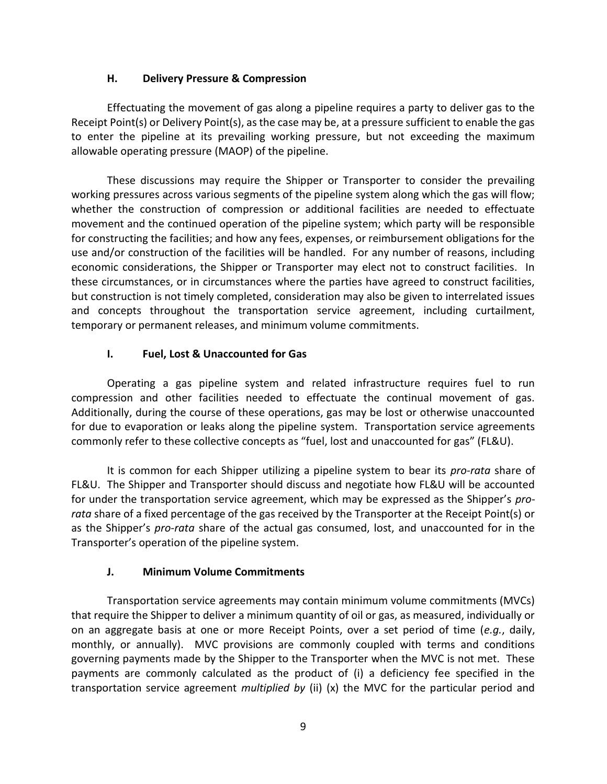## H. Delivery Pressure & Compression

Effectuating the movement of gas along a pipeline requires a party to deliver gas to the Receipt Point(s) or Delivery Point(s), as the case may be, at a pressure sufficient to enable the gas to enter the pipeline at its prevailing working pressure, but not exceeding the maximum allowable operating pressure (MAOP) of the pipeline.

These discussions may require the Shipper or Transporter to consider the prevailing working pressures across various segments of the pipeline system along which the gas will flow; whether the construction of compression or additional facilities are needed to effectuate movement and the continued operation of the pipeline system; which party will be responsible for constructing the facilities; and how any fees, expenses, or reimbursement obligations for the use and/or construction of the facilities will be handled. For any number of reasons, including economic considerations, the Shipper or Transporter may elect not to construct facilities. In these circumstances, or in circumstances where the parties have agreed to construct facilities, but construction is not timely completed, consideration may also be given to interrelated issues and concepts throughout the transportation service agreement, including curtailment, temporary or permanent releases, and minimum volume commitments.

# I. Fuel, Lost & Unaccounted for Gas

Operating a gas pipeline system and related infrastructure requires fuel to run compression and other facilities needed to effectuate the continual movement of gas. Additionally, during the course of these operations, gas may be lost or otherwise unaccounted for due to evaporation or leaks along the pipeline system. Transportation service agreements commonly refer to these collective concepts as "fuel, lost and unaccounted for gas" (FL&U).

It is common for each Shipper utilizing a pipeline system to bear its *pro-rata* share of FL&U. The Shipper and Transporter should discuss and negotiate how FL&U will be accounted for under the transportation service agreement, which may be expressed as the Shipper's prorata share of a fixed percentage of the gas received by the Transporter at the Receipt Point(s) or as the Shipper's pro-rata share of the actual gas consumed, lost, and unaccounted for in the Transporter's operation of the pipeline system.

# J. Minimum Volume Commitments

Transportation service agreements may contain minimum volume commitments (MVCs) that require the Shipper to deliver a minimum quantity of oil or gas, as measured, individually or on an aggregate basis at one or more Receipt Points, over a set period of time (e.g., daily, monthly, or annually). MVC provisions are commonly coupled with terms and conditions governing payments made by the Shipper to the Transporter when the MVC is not met. These payments are commonly calculated as the product of (i) a deficiency fee specified in the transportation service agreement *multiplied by* (ii)  $(x)$  the MVC for the particular period and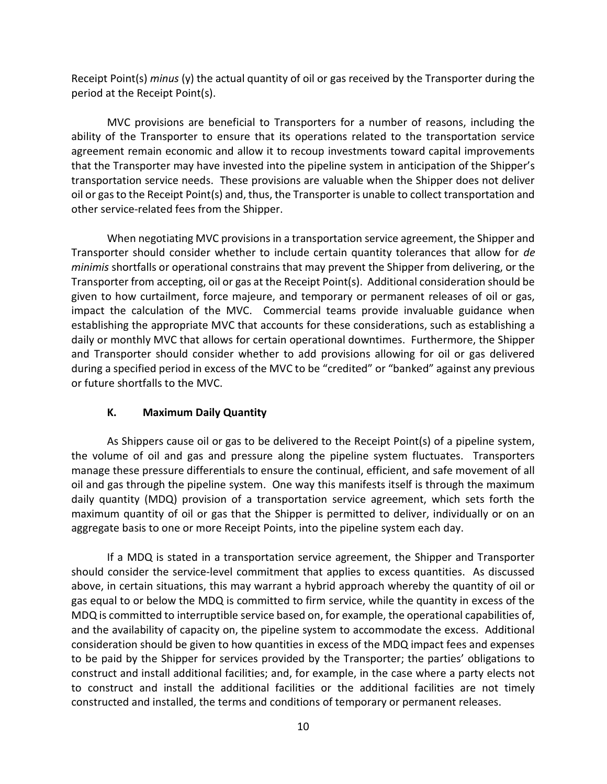Receipt Point(s) minus (y) the actual quantity of oil or gas received by the Transporter during the period at the Receipt Point(s).

MVC provisions are beneficial to Transporters for a number of reasons, including the ability of the Transporter to ensure that its operations related to the transportation service agreement remain economic and allow it to recoup investments toward capital improvements that the Transporter may have invested into the pipeline system in anticipation of the Shipper's transportation service needs. These provisions are valuable when the Shipper does not deliver oil or gas to the Receipt Point(s) and, thus, the Transporter is unable to collect transportation and other service-related fees from the Shipper.

When negotiating MVC provisions in a transportation service agreement, the Shipper and Transporter should consider whether to include certain quantity tolerances that allow for de minimis shortfalls or operational constrains that may prevent the Shipper from delivering, or the Transporter from accepting, oil or gas at the Receipt Point(s). Additional consideration should be given to how curtailment, force majeure, and temporary or permanent releases of oil or gas, impact the calculation of the MVC. Commercial teams provide invaluable guidance when establishing the appropriate MVC that accounts for these considerations, such as establishing a daily or monthly MVC that allows for certain operational downtimes. Furthermore, the Shipper and Transporter should consider whether to add provisions allowing for oil or gas delivered during a specified period in excess of the MVC to be "credited" or "banked" against any previous or future shortfalls to the MVC.

# K. Maximum Daily Quantity

As Shippers cause oil or gas to be delivered to the Receipt Point(s) of a pipeline system, the volume of oil and gas and pressure along the pipeline system fluctuates. Transporters manage these pressure differentials to ensure the continual, efficient, and safe movement of all oil and gas through the pipeline system. One way this manifests itself is through the maximum daily quantity (MDQ) provision of a transportation service agreement, which sets forth the maximum quantity of oil or gas that the Shipper is permitted to deliver, individually or on an aggregate basis to one or more Receipt Points, into the pipeline system each day.

If a MDQ is stated in a transportation service agreement, the Shipper and Transporter should consider the service-level commitment that applies to excess quantities. As discussed above, in certain situations, this may warrant a hybrid approach whereby the quantity of oil or gas equal to or below the MDQ is committed to firm service, while the quantity in excess of the MDQ is committed to interruptible service based on, for example, the operational capabilities of, and the availability of capacity on, the pipeline system to accommodate the excess. Additional consideration should be given to how quantities in excess of the MDQ impact fees and expenses to be paid by the Shipper for services provided by the Transporter; the parties' obligations to construct and install additional facilities; and, for example, in the case where a party elects not to construct and install the additional facilities or the additional facilities are not timely constructed and installed, the terms and conditions of temporary or permanent releases.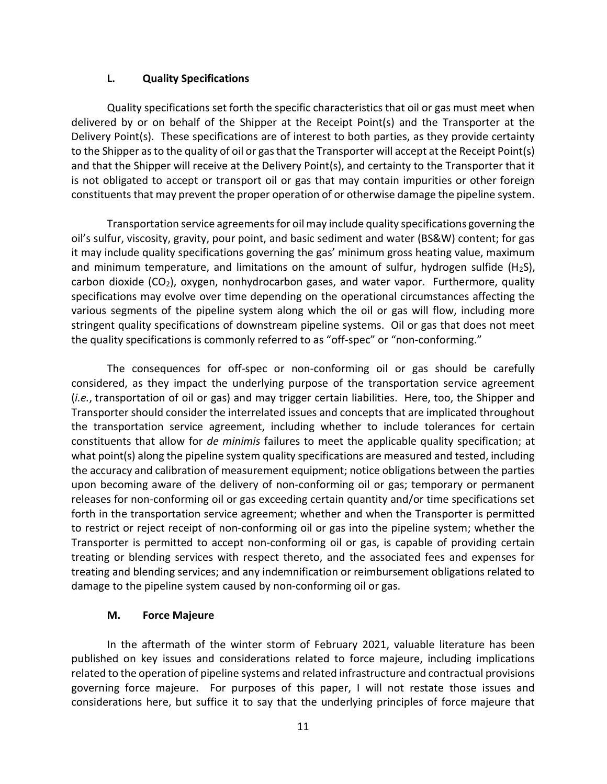#### L. Quality Specifications

Quality specifications set forth the specific characteristics that oil or gas must meet when delivered by or on behalf of the Shipper at the Receipt Point(s) and the Transporter at the Delivery Point(s). These specifications are of interest to both parties, as they provide certainty to the Shipper as to the quality of oil or gas that the Transporter will accept at the Receipt Point(s) and that the Shipper will receive at the Delivery Point(s), and certainty to the Transporter that it is not obligated to accept or transport oil or gas that may contain impurities or other foreign constituents that may prevent the proper operation of or otherwise damage the pipeline system.

Transportation service agreements for oil may include quality specifications governing the oil's sulfur, viscosity, gravity, pour point, and basic sediment and water (BS&W) content; for gas it may include quality specifications governing the gas' minimum gross heating value, maximum and minimum temperature, and limitations on the amount of sulfur, hydrogen sulfide (H<sub>2</sub>S), carbon dioxide  $(CO_2)$ , oxygen, nonhydrocarbon gases, and water vapor. Furthermore, quality specifications may evolve over time depending on the operational circumstances affecting the various segments of the pipeline system along which the oil or gas will flow, including more stringent quality specifications of downstream pipeline systems. Oil or gas that does not meet the quality specifications is commonly referred to as "off-spec" or "non-conforming."

The consequences for off-spec or non-conforming oil or gas should be carefully considered, as they impact the underlying purpose of the transportation service agreement (i.e., transportation of oil or gas) and may trigger certain liabilities. Here, too, the Shipper and Transporter should consider the interrelated issues and concepts that are implicated throughout the transportation service agreement, including whether to include tolerances for certain constituents that allow for *de minimis* failures to meet the applicable quality specification; at what point(s) along the pipeline system quality specifications are measured and tested, including the accuracy and calibration of measurement equipment; notice obligations between the parties upon becoming aware of the delivery of non-conforming oil or gas; temporary or permanent releases for non-conforming oil or gas exceeding certain quantity and/or time specifications set forth in the transportation service agreement; whether and when the Transporter is permitted to restrict or reject receipt of non-conforming oil or gas into the pipeline system; whether the Transporter is permitted to accept non-conforming oil or gas, is capable of providing certain treating or blending services with respect thereto, and the associated fees and expenses for treating and blending services; and any indemnification or reimbursement obligations related to damage to the pipeline system caused by non-conforming oil or gas.

## M. Force Majeure

In the aftermath of the winter storm of February 2021, valuable literature has been published on key issues and considerations related to force majeure, including implications related to the operation of pipeline systems and related infrastructure and contractual provisions governing force majeure. For purposes of this paper, I will not restate those issues and considerations here, but suffice it to say that the underlying principles of force majeure that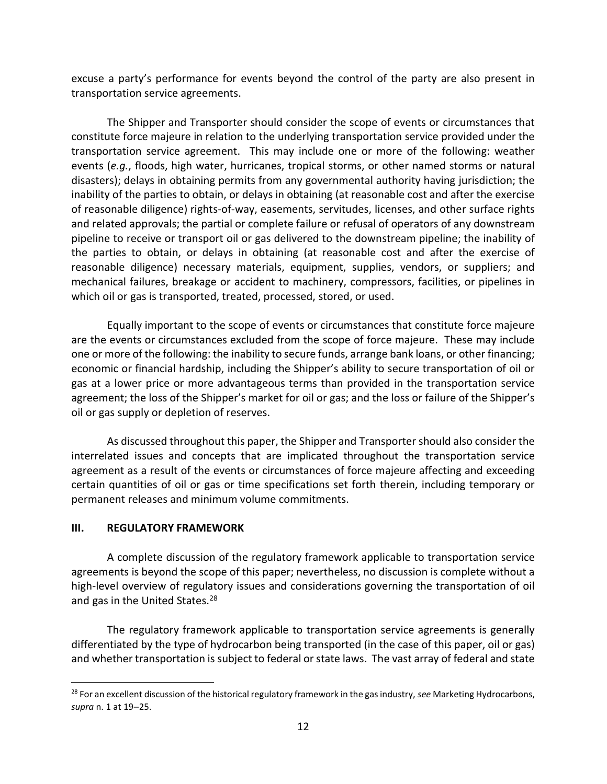excuse a party's performance for events beyond the control of the party are also present in transportation service agreements.

The Shipper and Transporter should consider the scope of events or circumstances that constitute force majeure in relation to the underlying transportation service provided under the transportation service agreement. This may include one or more of the following: weather events (e.g., floods, high water, hurricanes, tropical storms, or other named storms or natural disasters); delays in obtaining permits from any governmental authority having jurisdiction; the inability of the parties to obtain, or delays in obtaining (at reasonable cost and after the exercise of reasonable diligence) rights-of-way, easements, servitudes, licenses, and other surface rights and related approvals; the partial or complete failure or refusal of operators of any downstream pipeline to receive or transport oil or gas delivered to the downstream pipeline; the inability of the parties to obtain, or delays in obtaining (at reasonable cost and after the exercise of reasonable diligence) necessary materials, equipment, supplies, vendors, or suppliers; and mechanical failures, breakage or accident to machinery, compressors, facilities, or pipelines in which oil or gas is transported, treated, processed, stored, or used.

Equally important to the scope of events or circumstances that constitute force majeure are the events or circumstances excluded from the scope of force majeure. These may include one or more of the following: the inability to secure funds, arrange bank loans, or other financing; economic or financial hardship, including the Shipper's ability to secure transportation of oil or gas at a lower price or more advantageous terms than provided in the transportation service agreement; the loss of the Shipper's market for oil or gas; and the loss or failure of the Shipper's oil or gas supply or depletion of reserves.

As discussed throughout this paper, the Shipper and Transporter should also consider the interrelated issues and concepts that are implicated throughout the transportation service agreement as a result of the events or circumstances of force majeure affecting and exceeding certain quantities of oil or gas or time specifications set forth therein, including temporary or permanent releases and minimum volume commitments.

#### III. REGULATORY FRAMEWORK

 $\overline{a}$ 

A complete discussion of the regulatory framework applicable to transportation service agreements is beyond the scope of this paper; nevertheless, no discussion is complete without a high-level overview of regulatory issues and considerations governing the transportation of oil and gas in the United States.<sup>28</sup>

The regulatory framework applicable to transportation service agreements is generally differentiated by the type of hydrocarbon being transported (in the case of this paper, oil or gas) and whether transportation is subject to federal or state laws. The vast array of federal and state

<sup>&</sup>lt;sup>28</sup> For an excellent discussion of the historical regulatory framework in the gas industry, see Marketing Hydrocarbons, supra n. 1 at 19-25.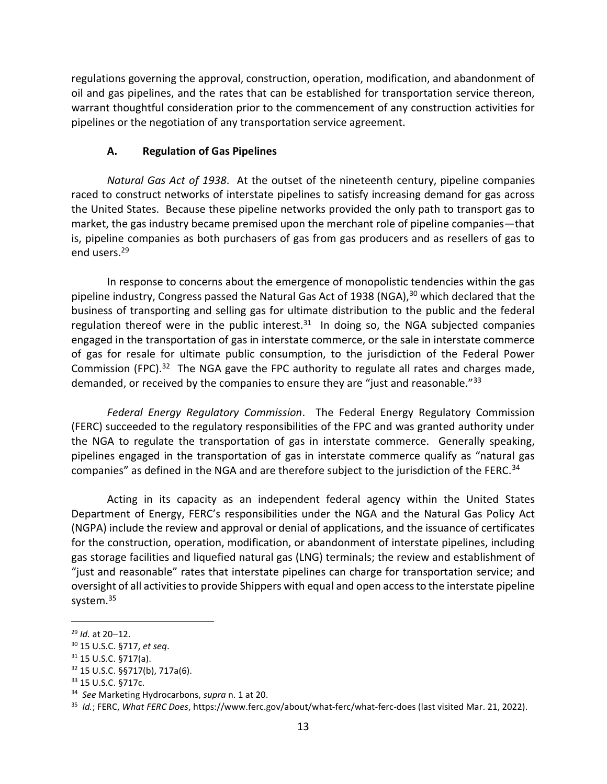regulations governing the approval, construction, operation, modification, and abandonment of oil and gas pipelines, and the rates that can be established for transportation service thereon, warrant thoughtful consideration prior to the commencement of any construction activities for pipelines or the negotiation of any transportation service agreement.

#### A. Regulation of Gas Pipelines

Natural Gas Act of 1938. At the outset of the nineteenth century, pipeline companies raced to construct networks of interstate pipelines to satisfy increasing demand for gas across the United States. Because these pipeline networks provided the only path to transport gas to market, the gas industry became premised upon the merchant role of pipeline companies—that is, pipeline companies as both purchasers of gas from gas producers and as resellers of gas to end users.<sup>29</sup>

In response to concerns about the emergence of monopolistic tendencies within the gas pipeline industry, Congress passed the Natural Gas Act of 1938 (NGA),<sup>30</sup> which declared that the business of transporting and selling gas for ultimate distribution to the public and the federal regulation thereof were in the public interest. $31$  In doing so, the NGA subjected companies engaged in the transportation of gas in interstate commerce, or the sale in interstate commerce of gas for resale for ultimate public consumption, to the jurisdiction of the Federal Power Commission (FPC).<sup>32</sup> The NGA gave the FPC authority to regulate all rates and charges made, demanded, or received by the companies to ensure they are "just and reasonable."<sup>33</sup>

Federal Energy Regulatory Commission. The Federal Energy Regulatory Commission (FERC) succeeded to the regulatory responsibilities of the FPC and was granted authority under the NGA to regulate the transportation of gas in interstate commerce. Generally speaking, pipelines engaged in the transportation of gas in interstate commerce qualify as "natural gas companies" as defined in the NGA and are therefore subject to the jurisdiction of the FERC.<sup>34</sup>

Acting in its capacity as an independent federal agency within the United States Department of Energy, FERC's responsibilities under the NGA and the Natural Gas Policy Act (NGPA) include the review and approval or denial of applications, and the issuance of certificates for the construction, operation, modification, or abandonment of interstate pipelines, including gas storage facilities and liquefied natural gas (LNG) terminals; the review and establishment of "just and reasonable" rates that interstate pipelines can charge for transportation service; and oversight of all activities to provide Shippers with equal and open access to the interstate pipeline system.<sup>35</sup>

 $29$  *Id.* at 20-12.

<sup>30</sup> 15 U.S.C. §717, et seq.

 $31$  15 U.S.C. §717(a).

<sup>32</sup> 15 U.S.C. §§717(b), 717a(6).

<sup>33</sup> 15 U.S.C. §717c.

<sup>&</sup>lt;sup>34</sup> See Marketing Hydrocarbons, supra n. 1 at 20.

<sup>&</sup>lt;sup>35</sup> Id.; FERC, What FERC Does, https://www.ferc.gov/about/what-ferc/what-ferc-does (last visited Mar. 21, 2022).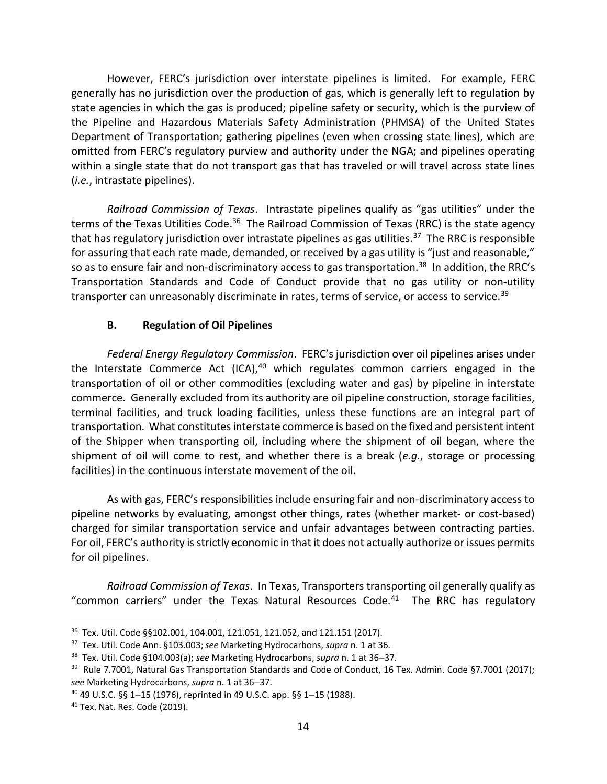However, FERC's jurisdiction over interstate pipelines is limited. For example, FERC generally has no jurisdiction over the production of gas, which is generally left to regulation by state agencies in which the gas is produced; pipeline safety or security, which is the purview of the Pipeline and Hazardous Materials Safety Administration (PHMSA) of the United States Department of Transportation; gathering pipelines (even when crossing state lines), which are omitted from FERC's regulatory purview and authority under the NGA; and pipelines operating within a single state that do not transport gas that has traveled or will travel across state lines (i.e., intrastate pipelines).

Railroad Commission of Texas. Intrastate pipelines qualify as "gas utilities" under the terms of the Texas Utilities Code.<sup>36</sup> The Railroad Commission of Texas (RRC) is the state agency that has regulatory jurisdiction over intrastate pipelines as gas utilities.<sup>37</sup> The RRC is responsible for assuring that each rate made, demanded, or received by a gas utility is "just and reasonable," so as to ensure fair and non-discriminatory access to gas transportation.<sup>38</sup> In addition, the RRC's Transportation Standards and Code of Conduct provide that no gas utility or non-utility transporter can unreasonably discriminate in rates, terms of service, or access to service.<sup>39</sup>

# B. Regulation of Oil Pipelines

Federal Energy Regulatory Commission. FERC's jurisdiction over oil pipelines arises under the Interstate Commerce Act (ICA), $40$  which regulates common carriers engaged in the transportation of oil or other commodities (excluding water and gas) by pipeline in interstate commerce. Generally excluded from its authority are oil pipeline construction, storage facilities, terminal facilities, and truck loading facilities, unless these functions are an integral part of transportation. What constitutes interstate commerce is based on the fixed and persistent intent of the Shipper when transporting oil, including where the shipment of oil began, where the shipment of oil will come to rest, and whether there is a break  $(e.g.,)$  storage or processing facilities) in the continuous interstate movement of the oil.

As with gas, FERC's responsibilities include ensuring fair and non-discriminatory access to pipeline networks by evaluating, amongst other things, rates (whether market- or cost-based) charged for similar transportation service and unfair advantages between contracting parties. For oil, FERC's authority is strictly economic in that it does not actually authorize or issues permits for oil pipelines.

Railroad Commission of Texas. In Texas, Transporters transporting oil generally qualify as "common carriers" under the Texas Natural Resources Code. $41$  The RRC has regulatory

<sup>36</sup> Tex. Util. Code §§102.001, 104.001, 121.051, 121.052, and 121.151 (2017).

<sup>&</sup>lt;sup>37</sup> Tex. Util. Code Ann. §103.003; see Marketing Hydrocarbons, supra n. 1 at 36.

<sup>38</sup> Tex. Util. Code §104.003(a); see Marketing Hydrocarbons, supra n. 1 at 36-37.

<sup>&</sup>lt;sup>39</sup> Rule 7.7001, Natural Gas Transportation Standards and Code of Conduct, 16 Tex. Admin. Code §7.7001 (2017); see Marketing Hydrocarbons, supra n. 1 at 36-37.

 $40$  49 U.S.C. §§ 1-15 (1976), reprinted in 49 U.S.C. app. §§ 1-15 (1988).

<sup>41</sup> Tex. Nat. Res. Code (2019).